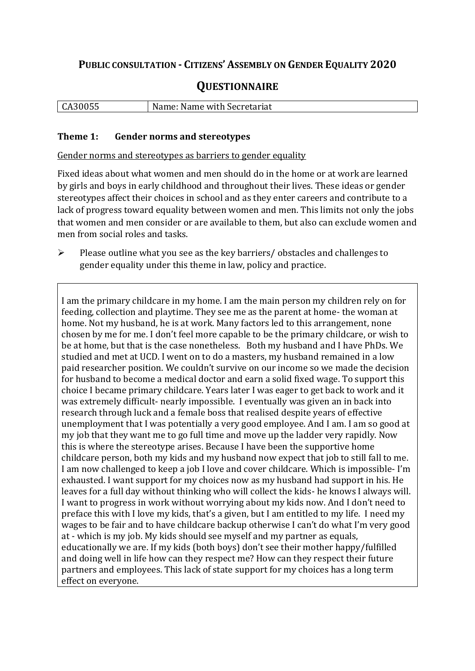# **PUBLIC CONSULTATION - CITIZENS' ASSEMBLY ON GENDER EQUALITY 2020**

# **QUESTIONNAIRE**

| CA30055 | $\sqrt{ }$<br>Name: Name with Secretariat |
|---------|-------------------------------------------|
|         |                                           |

#### **Theme 1: Gender norms and stereotypes**

Gender norms and stereotypes as barriers to gender equality

Fixed ideas about what women and men should do in the home or at work are learned by girls and boys in early childhood and throughout their lives. These ideas or gender stereotypes affect their choices in school and as they enter careers and contribute to a lack of progress toward equality between women and men. This limits not only the jobs that women and men consider or are available to them, but also can exclude women and men from social roles and tasks.

➢ Please outline what you see as the key barriers/ obstacles and challenges to gender equality under this theme in law, policy and practice.

I am the primary childcare in my home. I am the main person my children rely on for feeding, collection and playtime. They see me as the parent at home- the woman at home. Not my husband, he is at work. Many factors led to this arrangement, none chosen by me for me. I don't feel more capable to be the primary childcare, or wish to be at home, but that is the case nonetheless. Both my husband and I have PhDs. We studied and met at UCD. I went on to do a masters, my husband remained in a low paid researcher position. We couldn't survive on our income so we made the decision for husband to become a medical doctor and earn a solid fixed wage. To support this choice I became primary childcare. Years later I was eager to get back to work and it was extremely difficult- nearly impossible. I eventually was given an in back into research through luck and a female boss that realised despite years of effective unemployment that I was potentially a very good employee. And I am. I am so good at my job that they want me to go full time and move up the ladder very rapidly. Now this is where the stereotype arises. Because I have been the supportive home childcare person, both my kids and my husband now expect that job to still fall to me. I am now challenged to keep a job I love and cover childcare. Which is impossible- I'm exhausted. I want support for my choices now as my husband had support in his. He leaves for a full day without thinking who will collect the kids- he knows I always will. I want to progress in work without worrying about my kids now. And I don't need to preface this with I love my kids, that's a given, but I am entitled to my life. I need my wages to be fair and to have childcare backup otherwise I can't do what I'm very good at - which is my job. My kids should see myself and my partner as equals, educationally we are. If my kids (both boys) don't see their mother happy/fulfilled and doing well in life how can they respect me? How can they respect their future partners and employees. This lack of state support for my choices has a long term effect on everyone.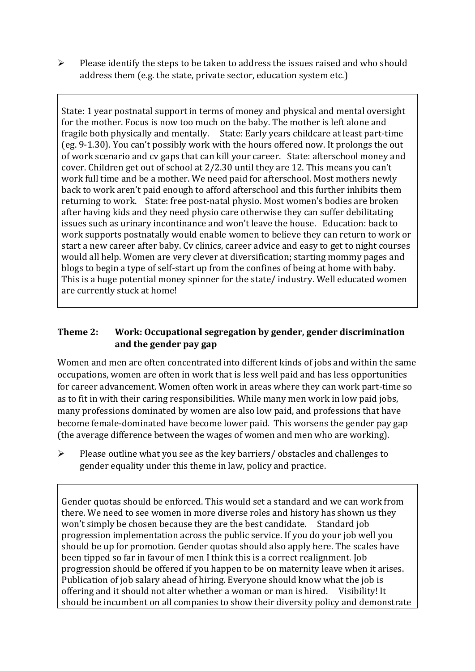➢ Please identify the steps to be taken to address the issues raised and who should address them (e.g. the state, private sector, education system etc.)

State: 1 year postnatal support in terms of money and physical and mental oversight for the mother. Focus is now too much on the baby. The mother is left alone and fragile both physically and mentally. State: Early years childcare at least part-time (eg. 9-1.30). You can't possibly work with the hours offered now. It prolongs the out of work scenario and cv gaps that can kill your career. State: afterschool money and cover. Children get out of school at 2/2.30 until they are 12. This means you can't work full time and be a mother. We need paid for afterschool. Most mothers newly back to work aren't paid enough to afford afterschool and this further inhibits them returning to work. State: free post-natal physio. Most women's bodies are broken after having kids and they need physio care otherwise they can suffer debilitating issues such as urinary incontinance and won't leave the house. Education: back to work supports postnatally would enable women to believe they can return to work or start a new career after baby. Cv clinics, career advice and easy to get to night courses would all help. Women are very clever at diversification; starting mommy pages and blogs to begin a type of self-start up from the confines of being at home with baby. This is a huge potential money spinner for the state/ industry. Well educated women are currently stuck at home!

## **Theme 2: Work: Occupational segregation by gender, gender discrimination and the gender pay gap**

Women and men are often concentrated into different kinds of jobs and within the same occupations, women are often in work that is less well paid and has less opportunities for career advancement. Women often work in areas where they can work part-time so as to fit in with their caring responsibilities. While many men work in low paid jobs, many professions dominated by women are also low paid, and professions that have become female-dominated have become lower paid. This worsens the gender pay gap (the average difference between the wages of women and men who are working).

➢ Please outline what you see as the key barriers/ obstacles and challenges to gender equality under this theme in law, policy and practice.

Gender quotas should be enforced. This would set a standard and we can work from there. We need to see women in more diverse roles and history has shown us they won't simply be chosen because they are the best candidate. Standard job progression implementation across the public service. If you do your job well you should be up for promotion. Gender quotas should also apply here. The scales have been tipped so far in favour of men I think this is a correct realignment. Job progression should be offered if you happen to be on maternity leave when it arises. Publication of job salary ahead of hiring. Everyone should know what the job is offering and it should not alter whether a woman or man is hired. Visibility! It should be incumbent on all companies to show their diversity policy and demonstrate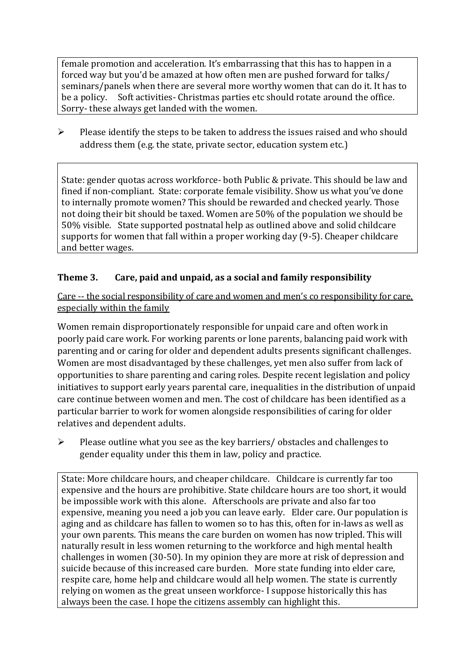female promotion and acceleration. It's embarrassing that this has to happen in a forced way but you'd be amazed at how often men are pushed forward for talks/ seminars/panels when there are several more worthy women that can do it. It has to be a policy. Soft activities- Christmas parties etc should rotate around the office. Sorry- these always get landed with the women.

 $\triangleright$  Please identify the steps to be taken to address the issues raised and who should address them (e.g. the state, private sector, education system etc.)

State: gender quotas across workforce- both Public & private. This should be law and fined if non-compliant. State: corporate female visibility. Show us what you've done to internally promote women? This should be rewarded and checked yearly. Those not doing their bit should be taxed. Women are 50% of the population we should be 50% visible. State supported postnatal help as outlined above and solid childcare supports for women that fall within a proper working day (9-5). Cheaper childcare and better wages.

## **Theme 3. Care, paid and unpaid, as a social and family responsibility**

Care -- the social responsibility of care and women and men's co responsibility for care, especially within the family

Women remain disproportionately responsible for unpaid care and often work in poorly paid care work. For working parents or [lone parents,](https://aran.library.nuigalway.ie/bitstream/handle/10379/6044/Millar_and_Crosse_Activation_Report.pdf?sequence=1&isAllowed=y) balancing paid work with parenting and or caring for older and dependent adults presents significant challenges. Women are [most disadvantaged by these challenges,](https://eige.europa.eu/gender-equality-index/game/IE/W) yet men also suffer from lack of opportunities to share parenting and caring roles. Despite recent legislation and policy initiatives to support early years parental care, [inequalities in the distribution of unpaid](https://www.ihrec.ie/app/uploads/2019/07/Caring-and-Unpaid-Work-in-Ireland_Final.pdf)  [care](https://www.ihrec.ie/app/uploads/2019/07/Caring-and-Unpaid-Work-in-Ireland_Final.pdf) continue between women and men. The cost of childcare has been identified as a particular barrier to work for women alongside responsibilities of caring for older relatives and dependent adults.

➢ Please outline what you see as the key barriers/ obstacles and challenges to gender equality under this them in law, policy and practice.

State: More childcare hours, and cheaper childcare. Childcare is currently far too expensive and the hours are prohibitive. State childcare hours are too short, it would be impossible work with this alone. Afterschools are private and also far too expensive, meaning you need a job you can leave early. Elder care. Our population is aging and as childcare has fallen to women so to has this, often for in-laws as well as your own parents. This means the care burden on women has now tripled. This will naturally result in less women returning to the workforce and high mental health challenges in women (30-50). In my opinion they are more at risk of depression and suicide because of this increased care burden. More state funding into elder care, respite care, home help and childcare would all help women. The state is currently relying on women as the great unseen workforce- I suppose historically this has always been the case. I hope the citizens assembly can highlight this.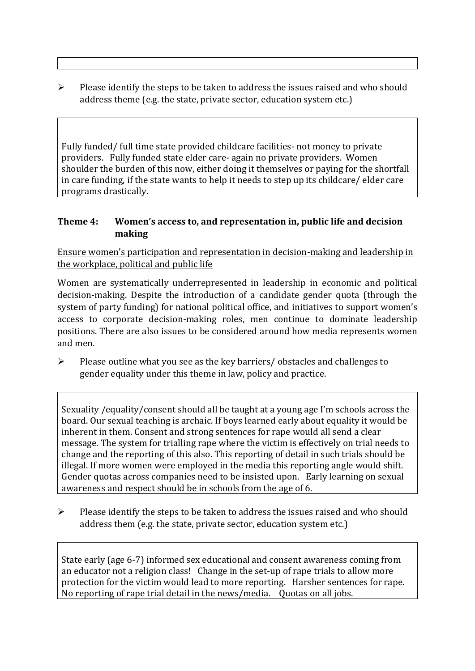$\triangleright$  Please identify the steps to be taken to address the issues raised and who should address theme (e.g. the state, private sector, education system etc.)

Fully funded/ full time state provided childcare facilities- not money to private providers. Fully funded state elder care- again no private providers. Women shoulder the burden of this now, either doing it themselves or paying for the shortfall in care funding, if the state wants to help it needs to step up its childcare/ elder care programs drastically.

#### **Theme 4: Women's access to, and representation in, public life and decision making**

Ensure women's participation and representation in decision-making and leadership in the workplace, political and public life

Women are systematically underrepresented in leadership in [economic](https://eige.europa.eu/gender-equality-index/2019/compare-countries/power/2/bar) and [political](https://eige.europa.eu/gender-equality-index/2019/compare-countries/power/1/bar)  [decision-](https://eige.europa.eu/gender-equality-index/2019/compare-countries/power/1/bar)making. Despite the introduction of a candidate gender quota (through the system of party funding) for national political office, and [initiatives](https://betterbalance.ie/) to support women's access to corporate decision-making roles, men continue to dominate leadership positions. There are also issues to be considered around how media represents women and men.

➢ Please outline what you see as the key barriers/ obstacles and challenges to gender equality under this theme in law, policy and practice.

Sexuality /equality/consent should all be taught at a young age I'm schools across the board. Our sexual teaching is archaic. If boys learned early about equality it would be inherent in them. Consent and strong sentences for rape would all send a clear message. The system for trialling rape where the victim is effectively on trial needs to change and the reporting of this also. This reporting of detail in such trials should be illegal. If more women were employed in the media this reporting angle would shift. Gender quotas across companies need to be insisted upon. Early learning on sexual awareness and respect should be in schools from the age of 6.

 $\triangleright$  Please identify the steps to be taken to address the issues raised and who should address them (e.g. the state, private sector, education system etc.)

State early (age 6-7) informed sex educational and consent awareness coming from an educator not a religion class! Change in the set-up of rape trials to allow more protection for the victim would lead to more reporting. Harsher sentences for rape. No reporting of rape trial detail in the news/media. Quotas on all jobs.